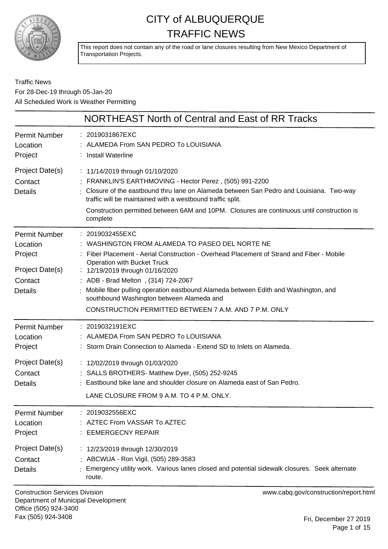

This report does not contain any of the road or lane closures resulting from New Mexico Department of Transportation Projects.

Traffic News For 28-Dec-19 through 05-Jan-20 All Scheduled Work is Weather Permitting

|                                                                                             | NORTHEAST North of Central and East of RR Tracks                                                                                                                                                                                                                                                                                                                                                                                                                        |
|---------------------------------------------------------------------------------------------|-------------------------------------------------------------------------------------------------------------------------------------------------------------------------------------------------------------------------------------------------------------------------------------------------------------------------------------------------------------------------------------------------------------------------------------------------------------------------|
| Permit Number<br>Location<br>Project                                                        | : 2019031867EXC<br>: ALAMEDA From SAN PEDRO To LOUISIANA<br>: Install Waterline                                                                                                                                                                                                                                                                                                                                                                                         |
| Project Date(s)<br>Contact<br><b>Details</b>                                                | : 11/14/2019 through 01/10/2020<br>: FRANKLIN'S EARTHMOVING - Hector Perez, (505) 991-2200<br>: Closure of the eastbound thru lane on Alameda between San Pedro and Louisiana. Two-way<br>traffic will be maintained with a westbound traffic split.<br>Construction permitted between 6AM and 10PM. Closures are continuous until construction is<br>complete                                                                                                          |
| <b>Permit Number</b><br>Location<br>Project<br>Project Date(s)<br>Contact<br><b>Details</b> | : 2019032455EXC<br>: WASHINGTON FROM ALAMEDA TO PASEO DEL NORTE NE<br>Fiber Placement - Aerial Construction - Overhead Placement of Strand and Fiber - Mobile<br><b>Operation with Bucket Truck</b><br>: 12/19/2019 through 01/16/2020<br>ADB - Brad Melton, (314) 724-2067<br>Mobile fiber pulling operation eastbound Alameda between Edith and Washington, and<br>southbound Washington between Alameda and<br>CONSTRUCTION PERMITTED BETWEEN 7 A.M. AND 7 P.M. ONLY |
| Permit Number<br>Location<br>Project<br>Project Date(s)<br>Contact<br><b>Details</b>        | : 2019032191EXC<br>ALAMEDA From SAN PEDRO To LOUISIANA<br>: Storm Drain Connection to Alameda - Extend SD to Inlets on Alameda.<br>: 12/02/2019 through 01/03/2020<br>: SALLS BROTHERS- Matthew Dyer, (505) 252-9245<br>: Eastbound bike lane and shoulder closure on Alameda east of San Pedro.<br>LANE CLOSURE FROM 9 A.M. TO 4 P.M. ONLY.                                                                                                                            |
| Permit Number<br>Location<br>Project<br>Project Date(s)<br>Contact<br><b>Details</b>        | : 2019032556EXC<br><b>AZTEC From VASSAR To AZTEC</b><br>: EEMERGECNY REPAIR<br>: 12/23/2019 through 12/30/2019<br>: ABCWUA - Ron Vigil, (505) 289-3583<br>Emergency utility work. Various lanes closed and potential sidewalk closures. Seek alternate<br>route.                                                                                                                                                                                                        |

Construction Services Division Department of Municipal Development Office (505) 924-3400 Fax (505) 924-3408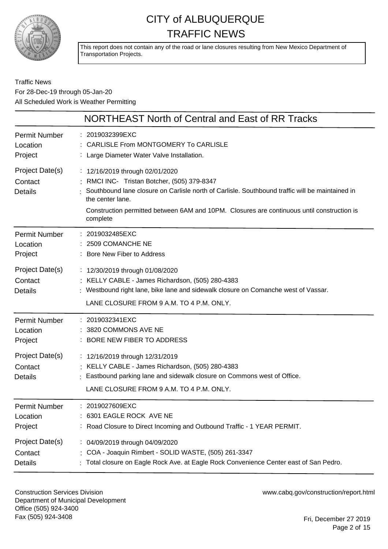

This report does not contain any of the road or lane closures resulting from New Mexico Department of Transportation Projects.

Traffic News For 28-Dec-19 through 05-Jan-20 All Scheduled Work is Weather Permitting

|                                              | NORTHEAST North of Central and East of RR Tracks                                                                                                                                                                                                                                                                |
|----------------------------------------------|-----------------------------------------------------------------------------------------------------------------------------------------------------------------------------------------------------------------------------------------------------------------------------------------------------------------|
| <b>Permit Number</b>                         | : 2019032399EXC                                                                                                                                                                                                                                                                                                 |
| Location                                     | : CARLISLE From MONTGOMERY To CARLISLE                                                                                                                                                                                                                                                                          |
| Project                                      | : Large Diameter Water Valve Installation.                                                                                                                                                                                                                                                                      |
| Project Date(s)<br>Contact<br><b>Details</b> | : 12/16/2019 through 02/01/2020<br>: RMCI INC- Tristan Botcher, (505) 379-8347<br>Southbound lane closure on Carlisle north of Carlisle. Southbound traffic will be maintained in<br>the center lane.<br>Construction permitted between 6AM and 10PM. Closures are continuous until construction is<br>complete |
| <b>Permit Number</b>                         | : 2019032485EXC                                                                                                                                                                                                                                                                                                 |
| Location                                     | : 2509 COMANCHE NE                                                                                                                                                                                                                                                                                              |
| Project                                      | : Bore New Fiber to Address                                                                                                                                                                                                                                                                                     |
| Project Date(s)<br>Contact<br><b>Details</b> | : 12/30/2019 through 01/08/2020<br>: KELLY CABLE - James Richardson, (505) 280-4383<br>: Westbound right lane, bike lane and sidewalk closure on Comanche west of Vassar.<br>LANE CLOSURE FROM 9 A.M. TO 4 P.M. ONLY.                                                                                           |
| <b>Permit Number</b>                         | : 2019032341EXC                                                                                                                                                                                                                                                                                                 |
| Location                                     | 3820 COMMONS AVE NE                                                                                                                                                                                                                                                                                             |
| Project                                      | : BORE NEW FIBER TO ADDRESS                                                                                                                                                                                                                                                                                     |
| Project Date(s)<br>Contact<br><b>Details</b> | : 12/16/2019 through 12/31/2019<br>: KELLY CABLE - James Richardson, (505) 280-4383<br>: Eastbound parking lane and sidewalk closure on Commons west of Office.<br>LANE CLOSURE FROM 9 A.M. TO 4 P.M. ONLY.                                                                                                     |
| Permit Number                                | : 2019027609EXC                                                                                                                                                                                                                                                                                                 |
| Location                                     | : 6301 EAGLE ROCK AVE NE                                                                                                                                                                                                                                                                                        |
| Project                                      | : Road Closure to Direct Incoming and Outbound Traffic - 1 YEAR PERMIT.                                                                                                                                                                                                                                         |
| Project Date(s)                              | : 04/09/2019 through 04/09/2020                                                                                                                                                                                                                                                                                 |
| Contact                                      | : COA - Joaquin Rimbert - SOLID WASTE, (505) 261-3347                                                                                                                                                                                                                                                           |
| Details                                      | Total closure on Eagle Rock Ave. at Eagle Rock Convenience Center east of San Pedro.                                                                                                                                                                                                                            |

Construction Services Division Department of Municipal Development Office (505) 924-3400 Fax (505) 924-3408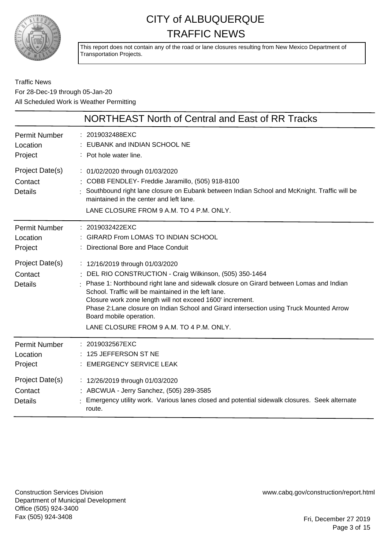

This report does not contain any of the road or lane closures resulting from New Mexico Department of Transportation Projects.

Traffic News For 28-Dec-19 through 05-Jan-20 All Scheduled Work is Weather Permitting

|                                              | NORTHEAST North of Central and East of RR Tracks                                                                                                                                                                                                                                                                                                                                                                                                                            |
|----------------------------------------------|-----------------------------------------------------------------------------------------------------------------------------------------------------------------------------------------------------------------------------------------------------------------------------------------------------------------------------------------------------------------------------------------------------------------------------------------------------------------------------|
| <b>Permit Number</b><br>Location<br>Project  | : 2019032488EXC<br>EUBANK and INDIAN SCHOOL NE<br>: Pot hole water line.                                                                                                                                                                                                                                                                                                                                                                                                    |
| Project Date(s)<br>Contact<br><b>Details</b> | : 01/02/2020 through 01/03/2020<br>: COBB FENDLEY- Freddie Jaramillo, (505) 918-8100<br>Southbound right lane closure on Eubank between Indian School and McKnight. Traffic will be<br>maintained in the center and left lane.<br>LANE CLOSURE FROM 9 A.M. TO 4 P.M. ONLY.                                                                                                                                                                                                  |
| <b>Permit Number</b><br>Location<br>Project  | : 2019032422EXC<br>: GIRARD From LOMAS TO INDIAN SCHOOL<br>: Directional Bore and Place Conduit                                                                                                                                                                                                                                                                                                                                                                             |
| Project Date(s)<br>Contact<br><b>Details</b> | : 12/16/2019 through 01/03/2020<br>DEL RIO CONSTRUCTION - Craig Wilkinson, (505) 350-1464<br>Phase 1: Northbound right lane and sidewalk closure on Girard between Lomas and Indian<br>School. Traffic will be maintained in the left lane.<br>Closure work zone length will not exceed 1600' increment.<br>Phase 2: Lane closure on Indian School and Girard intersection using Truck Mounted Arrow<br>Board mobile operation.<br>LANE CLOSURE FROM 9 A.M. TO 4 P.M. ONLY. |
| <b>Permit Number</b><br>Location<br>Project  | : 2019032567EXC<br>125 JEFFERSON ST NE<br><b>EMERGENCY SERVICE LEAK</b>                                                                                                                                                                                                                                                                                                                                                                                                     |
| Project Date(s)<br>Contact<br><b>Details</b> | : 12/26/2019 through 01/03/2020<br>: ABCWUA - Jerry Sanchez, (505) 289-3585<br>Emergency utility work. Various lanes closed and potential sidewalk closures. Seek alternate<br>route.                                                                                                                                                                                                                                                                                       |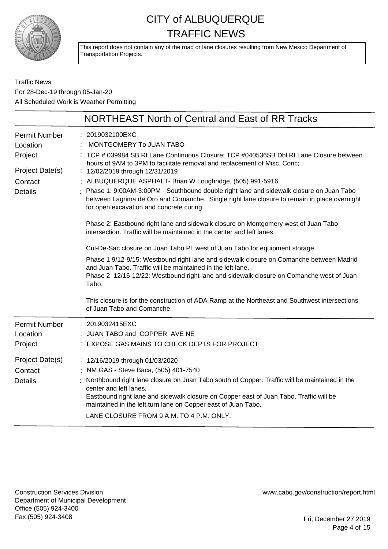

This report does not contain any of the road or lane closures resulting from New Mexico Department of Transportation Projects.

Traffic News For 28-Dec-19 through 05-Jan-20 All Scheduled Work is Weather Permitting

|                                  | <b>NORTHEAST North of Central and East of RR Tracks</b>                                                                                                                                                                                                                                         |
|----------------------------------|-------------------------------------------------------------------------------------------------------------------------------------------------------------------------------------------------------------------------------------------------------------------------------------------------|
| <b>Permit Number</b><br>Location | : 2019032100EXC<br>MONTGOMERY To JUAN TABO                                                                                                                                                                                                                                                      |
| Project                          | : TCP # 039984 SB Rt Lane Continuous Closure; TCP #040536SB Dbl Rt Lane Closure between<br>hours of 9AM to 3PM to facilitate removal and replacement of Misc. Conc;                                                                                                                             |
| Project Date(s)                  | : 12/02/2019 through 12/31/2019                                                                                                                                                                                                                                                                 |
| Contact<br><b>Details</b>        | : ALBUQUERQUE ASPHALT- Brian W Loughridge, (505) 991-5916<br>Phase 1: 9:00AM-3:00PM - Southbound double right lane and sidewalk closure on Juan Tabo<br>between Lagrima de Oro and Comanche. Single right lane closure to remain in place overnight<br>for open excavation and concrete curing. |
|                                  | Phase 2: Eastbound right lane and sidewalk closure on Montgomery west of Juan Tabo<br>intersection. Traffic will be maintained in the center and left lanes.                                                                                                                                    |
|                                  | Cul-De-Sac closure on Juan Tabo Pl. west of Juan Tabo for equipment storage.                                                                                                                                                                                                                    |
|                                  | Phase 1 9/12-9/15: Westbound right lane and sidewalk closure on Comanche between Madrid<br>and Juan Tabo. Traffic will be maintained in the left lane.<br>Phase 2 12/16-12/22: Westbound right lane and sidewalk closure on Comanche west of Juan<br>Tabo.                                      |
|                                  | This closure is for the construction of ADA Ramp at the Northeast and Southwest intersections<br>of Juan Tabo and Comanche.                                                                                                                                                                     |
| <b>Permit Number</b>             | : 2019032415EXC                                                                                                                                                                                                                                                                                 |
| Location                         | : JUAN TABO and COPPER AVE NE                                                                                                                                                                                                                                                                   |
| Project                          | : EXPOSE GAS MAINS TO CHECK DEPTS FOR PROJECT                                                                                                                                                                                                                                                   |
| Project Date(s)                  | : 12/16/2019 through 01/03/2020                                                                                                                                                                                                                                                                 |
| Contact                          | : NM GAS - Steve Baca, (505) 401-7540                                                                                                                                                                                                                                                           |
| <b>Details</b>                   | Northbound right lane closure on Juan Tabo south of Copper. Traffic will be maintained in the<br>center and left lanes.                                                                                                                                                                         |
|                                  | Eastbound right lane and sidewalk closure on Copper east of Juan Tabo. Traffic will be<br>maintained in the left turn lane on Copper east of Juan Tabo.                                                                                                                                         |
|                                  | LANE CLOSURE FROM 9 A.M. TO 4 P.M. ONLY.                                                                                                                                                                                                                                                        |

Construction Services Division Department of Municipal Development Office (505) 924-3400 Fax (505) 924-3408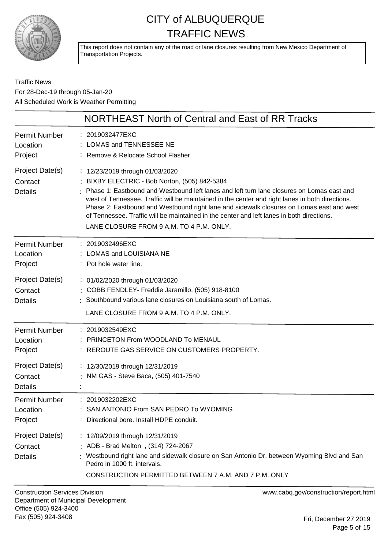

This report does not contain any of the road or lane closures resulting from New Mexico Department of Transportation Projects.

Traffic News For 28-Dec-19 through 05-Jan-20 All Scheduled Work is Weather Permitting

| NORTHEAST North of Central and East of RR Tracks |                                                                                                                                                                                                                                                                                                                                                                                                                                                                                                                       |
|--------------------------------------------------|-----------------------------------------------------------------------------------------------------------------------------------------------------------------------------------------------------------------------------------------------------------------------------------------------------------------------------------------------------------------------------------------------------------------------------------------------------------------------------------------------------------------------|
| <b>Permit Number</b><br>Location<br>Project      | : 2019032477EXC<br><b>LOMAS and TENNESSEE NE</b><br>: Remove & Relocate School Flasher                                                                                                                                                                                                                                                                                                                                                                                                                                |
| Project Date(s)<br>Contact<br><b>Details</b>     | : 12/23/2019 through 01/03/2020<br>: BIXBY ELECTRIC - Bob Norton, (505) 842-5384<br>Phase 1: Eastbound and Westbound left lanes and left turn lane closures on Lomas east and<br>west of Tennessee. Traffic will be maintained in the center and right lanes in both directions.<br>Phase 2: Eastbound and Westbound right lane and sidewalk closures on Lomas east and west<br>of Tennessee. Traffic will be maintained in the center and left lanes in both directions.<br>LANE CLOSURE FROM 9 A.M. TO 4 P.M. ONLY. |
| <b>Permit Number</b><br>Location<br>Project      | : 2019032496EXC<br>: LOMAS and LOUISIANA NE<br>: Pot hole water line.                                                                                                                                                                                                                                                                                                                                                                                                                                                 |
| Project Date(s)<br>Contact<br><b>Details</b>     | : 01/02/2020 through 01/03/2020<br>: COBB FENDLEY- Freddie Jaramillo, (505) 918-8100<br>: Southbound various lane closures on Louisiana south of Lomas.<br>LANE CLOSURE FROM 9 A.M. TO 4 P.M. ONLY.                                                                                                                                                                                                                                                                                                                   |
| <b>Permit Number</b><br>Location<br>Project      | : 2019032549EXC<br><b>PRINCETON From WOODLAND To MENAUL</b><br>REROUTE GAS SERVICE ON CUSTOMERS PROPERTY.                                                                                                                                                                                                                                                                                                                                                                                                             |
| Project Date(s)<br>Contact<br><b>Details</b>     | : 12/30/2019 through 12/31/2019<br>: NM GAS - Steve Baca, (505) 401-7540                                                                                                                                                                                                                                                                                                                                                                                                                                              |
| <b>Permit Number</b><br>Location<br>Project      | : 2019032202EXC<br>SAN ANTONIO From SAN PEDRO To WYOMING<br>Directional bore. Install HDPE conduit.                                                                                                                                                                                                                                                                                                                                                                                                                   |
| Project Date(s)<br>Contact<br><b>Details</b>     | : 12/09/2019 through 12/31/2019<br>ADB - Brad Melton, (314) 724-2067<br>Westbound right lane and sidewalk closure on San Antonio Dr. between Wyoming Blvd and San<br>Pedro in 1000 ft. intervals.<br>CONSTRUCTION PERMITTED BETWEEN 7 A.M. AND 7 P.M. ONLY                                                                                                                                                                                                                                                            |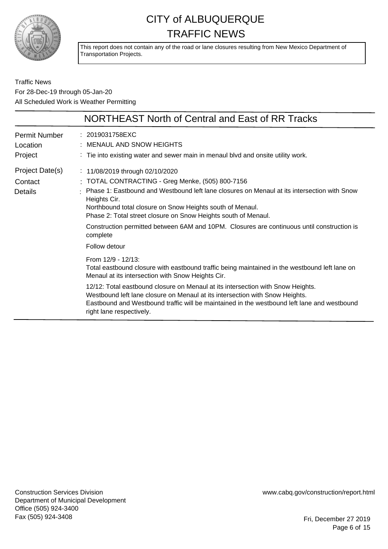

This report does not contain any of the road or lane closures resulting from New Mexico Department of Transportation Projects.

Traffic News For 28-Dec-19 through 05-Jan-20 All Scheduled Work is Weather Permitting

|                                              | NORTHEAST North of Central and East of RR Tracks                                                                                                                                                                                                                                                                                                                                                                                                                       |
|----------------------------------------------|------------------------------------------------------------------------------------------------------------------------------------------------------------------------------------------------------------------------------------------------------------------------------------------------------------------------------------------------------------------------------------------------------------------------------------------------------------------------|
| Permit Number<br>Location<br>Project         | : 2019031758EXC<br>MENAUL AND SNOW HEIGHTS<br>: Tie into existing water and sewer main in menaul blvd and onsite utility work.                                                                                                                                                                                                                                                                                                                                         |
| Project Date(s)<br>Contact<br><b>Details</b> | : 11/08/2019 through 02/10/2020<br>: TOTAL CONTRACTING - Greg Menke, (505) 800-7156<br>Phase 1: Eastbound and Westbound left lane closures on Menaul at its intersection with Snow<br>Heights Cir.<br>Northbound total closure on Snow Heights south of Menaul.<br>Phase 2: Total street closure on Snow Heights south of Menaul.<br>Construction permitted between 6AM and 10PM. Closures are continuous until construction is<br>complete<br>Follow detour           |
|                                              | From 12/9 - 12/13:<br>Total eastbound closure with eastbound traffic being maintained in the westbound left lane on<br>Menaul at its intersection with Snow Heights Cir.<br>12/12: Total eastbound closure on Menaul at its intersection with Snow Heights.<br>Westbound left lane closure on Menaul at its intersection with Snow Heights.<br>Eastbound and Westbound traffic will be maintained in the westbound left lane and westbound<br>right lane respectively. |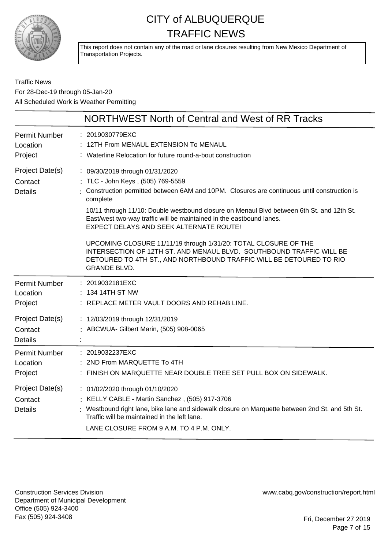

This report does not contain any of the road or lane closures resulting from New Mexico Department of Transportation Projects.

Traffic News For 28-Dec-19 through 05-Jan-20 All Scheduled Work is Weather Permitting

|                                                                                             | NORTHWEST North of Central and West of RR Tracks                                                                                                                                                                                                                                                                                                                                                                                                                                                                                                                                                                                        |
|---------------------------------------------------------------------------------------------|-----------------------------------------------------------------------------------------------------------------------------------------------------------------------------------------------------------------------------------------------------------------------------------------------------------------------------------------------------------------------------------------------------------------------------------------------------------------------------------------------------------------------------------------------------------------------------------------------------------------------------------------|
| <b>Permit Number</b><br>Location<br>Project                                                 | : 2019030779EXC<br>12TH From MENAUL EXTENSION To MENAUL<br>: Waterline Relocation for future round-a-bout construction                                                                                                                                                                                                                                                                                                                                                                                                                                                                                                                  |
| Project Date(s)<br>Contact<br><b>Details</b>                                                | : 09/30/2019 through 01/31/2020<br>: TLC - John Keys, (505) 769-5559<br>Construction permitted between 6AM and 10PM. Closures are continuous until construction is<br>complete<br>10/11 through 11/10: Double westbound closure on Menaul Blvd between 6th St. and 12th St.<br>East/west two-way traffic will be maintained in the eastbound lanes.<br>EXPECT DELAYS AND SEEK ALTERNATE ROUTE!<br>UPCOMING CLOSURE 11/11/19 through 1/31/20: TOTAL CLOSURE OF THE<br>INTERSECTION OF 12TH ST. AND MENAUL BLVD. SOUTHBOUND TRAFFIC WILL BE<br>DETOURED TO 4TH ST., AND NORTHBOUND TRAFFIC WILL BE DETOURED TO RIO<br><b>GRANDE BLVD.</b> |
| <b>Permit Number</b><br>Location<br>Project<br>Project Date(s)<br>Contact<br><b>Details</b> | : 2019032181EXC<br>: 134 14TH ST NW<br>: REPLACE METER VAULT DOORS AND REHAB LINE.<br>: 12/03/2019 through 12/31/2019<br>: ABCWUA- Gilbert Marin, (505) 908-0065                                                                                                                                                                                                                                                                                                                                                                                                                                                                        |
| <b>Permit Number</b><br>Location<br>Project                                                 | : 2019032237EXC<br>: 2ND From MARQUETTE To 4TH<br>: FINISH ON MARQUETTE NEAR DOUBLE TREE SET PULL BOX ON SIDEWALK.                                                                                                                                                                                                                                                                                                                                                                                                                                                                                                                      |
| Project Date(s)<br>Contact<br><b>Details</b>                                                | : 01/02/2020 through 01/10/2020<br>: KELLY CABLE - Martin Sanchez, (505) 917-3706<br>: Westbound right lane, bike lane and sidewalk closure on Marquette between 2nd St. and 5th St.<br>Traffic will be maintained in the left lane.<br>LANE CLOSURE FROM 9 A.M. TO 4 P.M. ONLY.                                                                                                                                                                                                                                                                                                                                                        |

Construction Services Division Department of Municipal Development Office (505) 924-3400 Fax (505) 924-3408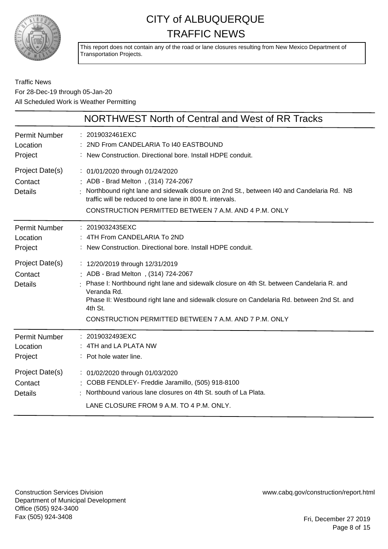

This report does not contain any of the road or lane closures resulting from New Mexico Department of Transportation Projects.

#### Traffic News For 28-Dec-19 through 05-Jan-20 All Scheduled Work is Weather Permitting

|                                              | NORTHWEST North of Central and West of RR Tracks                                                                                                                                                                                                                                                                                                     |
|----------------------------------------------|------------------------------------------------------------------------------------------------------------------------------------------------------------------------------------------------------------------------------------------------------------------------------------------------------------------------------------------------------|
| <b>Permit Number</b><br>Location<br>Project  | : 2019032461EXC<br>: 2ND From CANDELARIA To 140 EASTBOUND<br>: New Construction. Directional bore. Install HDPE conduit.                                                                                                                                                                                                                             |
| Project Date(s)<br>Contact<br><b>Details</b> | : 01/01/2020 through 01/24/2020<br>: ADB - Brad Melton, (314) 724-2067<br>: Northbound right lane and sidewalk closure on 2nd St., between I40 and Candelaria Rd. NB<br>traffic will be reduced to one lane in 800 ft. intervals.<br>CONSTRUCTION PERMITTED BETWEEN 7 A.M. AND 4 P.M. ONLY                                                           |
| <b>Permit Number</b><br>Location<br>Project  | : 2019032435EXC<br>: 4TH From CANDELARIA To 2ND<br>: New Construction. Directional bore. Install HDPE conduit.                                                                                                                                                                                                                                       |
| Project Date(s)<br>Contact<br><b>Details</b> | : 12/20/2019 through 12/31/2019<br>: ADB - Brad Melton, (314) 724-2067<br>: Phase I: Northbound right lane and sidewalk closure on 4th St. between Candelaria R. and<br>Veranda Rd.<br>Phase II: Westbound right lane and sidewalk closure on Candelaria Rd. between 2nd St. and<br>4th St.<br>CONSTRUCTION PERMITTED BETWEEN 7 A.M. AND 7 P.M. ONLY |
| <b>Permit Number</b><br>Location<br>Project  | : 2019032493EXC<br>: 4TH and LA PLATA NW<br>: Pot hole water line.                                                                                                                                                                                                                                                                                   |
| Project Date(s)<br>Contact<br><b>Details</b> | : 01/02/2020 through 01/03/2020<br>: COBB FENDLEY- Freddie Jaramillo, (505) 918-8100<br>: Northbound various lane closures on 4th St. south of La Plata.<br>LANE CLOSURE FROM 9 A.M. TO 4 P.M. ONLY.                                                                                                                                                 |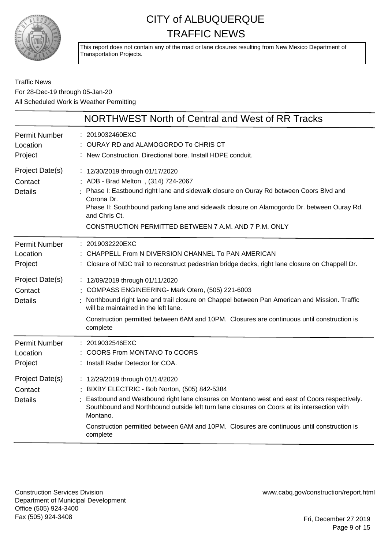

This report does not contain any of the road or lane closures resulting from New Mexico Department of Transportation Projects.

Traffic News For 28-Dec-19 through 05-Jan-20 All Scheduled Work is Weather Permitting

|                                                                                             | NORTHWEST North of Central and West of RR Tracks                                                                                                                                                                                                                                                                                                                                                                                                                                                                  |
|---------------------------------------------------------------------------------------------|-------------------------------------------------------------------------------------------------------------------------------------------------------------------------------------------------------------------------------------------------------------------------------------------------------------------------------------------------------------------------------------------------------------------------------------------------------------------------------------------------------------------|
| <b>Permit Number</b><br>Location<br>Project                                                 | : 2019032460EXC<br>OURAY RD and ALAMOGORDO To CHRIS CT<br>: New Construction. Directional bore. Install HDPE conduit.                                                                                                                                                                                                                                                                                                                                                                                             |
| Project Date(s)<br>Contact<br><b>Details</b>                                                | : 12/30/2019 through 01/17/2020<br>: ADB - Brad Melton, (314) 724-2067<br>Phase I: Eastbound right lane and sidewalk closure on Ouray Rd between Coors Blvd and<br>Corona Dr.<br>Phase II: Southbound parking lane and sidewalk closure on Alamogordo Dr. between Ouray Rd.<br>and Chris Ct.<br>CONSTRUCTION PERMITTED BETWEEN 7 A.M. AND 7 P.M. ONLY                                                                                                                                                             |
| <b>Permit Number</b><br>Location<br>Project<br>Project Date(s)<br>Contact<br><b>Details</b> | : 2019032220EXC<br>CHAPPELL From N DIVERSION CHANNEL To PAN AMERICAN<br>: Closure of NDC trail to reconstruct pedestrian bridge decks, right lane closure on Chappell Dr.<br>: 12/09/2019 through 01/11/2020<br>COMPASS ENGINEERING- Mark Otero, (505) 221-6003<br>Northbound right lane and trail closure on Chappel between Pan American and Mission. Traffic<br>will be maintained in the left lane.<br>Construction permitted between 6AM and 10PM. Closures are continuous until construction is<br>complete |
| <b>Permit Number</b><br>Location<br>Project                                                 | 2019032546EXC<br><b>COORS From MONTANO To COORS</b><br>Install Radar Detector for COA.                                                                                                                                                                                                                                                                                                                                                                                                                            |
| Project Date(s)<br>Contact<br><b>Details</b>                                                | : 12/29/2019 through 01/14/2020<br>: BIXBY ELECTRIC - Bob Norton, (505) 842-5384<br>Eastbound and Westbound right lane closures on Montano west and east of Coors respectively.<br>Southbound and Northbound outside left turn lane closures on Coors at its intersection with<br>Montano.<br>Construction permitted between 6AM and 10PM. Closures are continuous until construction is<br>complete                                                                                                              |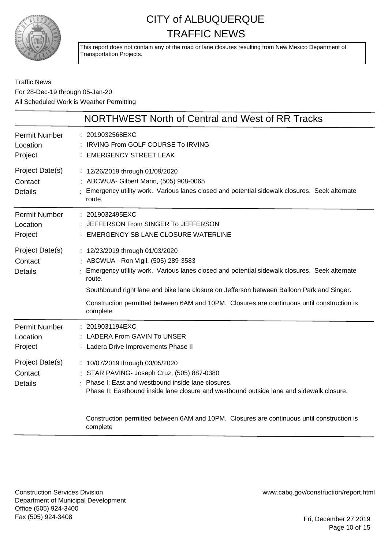

This report does not contain any of the road or lane closures resulting from New Mexico Department of Transportation Projects.

Traffic News For 28-Dec-19 through 05-Jan-20 All Scheduled Work is Weather Permitting

|                                              | NORTHWEST North of Central and West of RR Tracks                                                                                                                                                                                                                                                                                         |
|----------------------------------------------|------------------------------------------------------------------------------------------------------------------------------------------------------------------------------------------------------------------------------------------------------------------------------------------------------------------------------------------|
| Permit Number<br>Location<br>Project         | : 2019032568EXC<br>: IRVING From GOLF COURSE To IRVING<br><b>EMERGENCY STREET LEAK</b>                                                                                                                                                                                                                                                   |
| Project Date(s)<br>Contact<br><b>Details</b> | : 12/26/2019 through 01/09/2020<br>: ABCWUA- Gilbert Marin, (505) 908-0065<br>Emergency utility work. Various lanes closed and potential sidewalk closures. Seek alternate<br>route.                                                                                                                                                     |
| <b>Permit Number</b><br>Location<br>Project  | : 2019032495EXC<br>JEFFERSON From SINGER To JEFFERSON<br>: EMERGENCY SB LANE CLOSURE WATERLINE                                                                                                                                                                                                                                           |
| Project Date(s)<br>Contact<br><b>Details</b> | : 12/23/2019 through 01/03/2020<br>: ABCWUA - Ron Vigil, (505) 289-3583<br>Emergency utility work. Various lanes closed and potential sidewalk closures. Seek alternate<br>route.<br>Southbound right lane and bike lane closure on Jefferson between Balloon Park and Singer.                                                           |
|                                              | Construction permitted between 6AM and 10PM. Closures are continuous until construction is<br>complete                                                                                                                                                                                                                                   |
| <b>Permit Number</b><br>Location<br>Project  | : 2019031194EXC<br><b>LADERA From GAVIN To UNSER</b><br>: Ladera Drive Improvements Phase II                                                                                                                                                                                                                                             |
| Project Date(s)<br>Contact<br><b>Details</b> | : 10/07/2019 through 03/05/2020<br>: STAR PAVING- Joseph Cruz, (505) 887-0380<br>Phase I: East and westbound inside lane closures.<br>Phase II: Eastbound inside lane closure and westbound outside lane and sidewalk closure.<br>Construction permitted between 6AM and 10PM. Closures are continuous until construction is<br>complete |

Construction Services Division Department of Municipal Development Office (505) 924-3400 Fax (505) 924-3408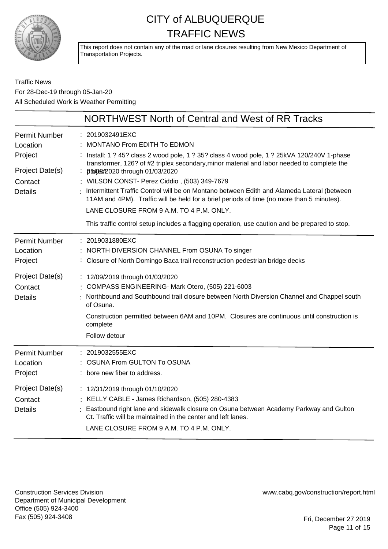

This report does not contain any of the road or lane closures resulting from New Mexico Department of Transportation Projects.

Traffic News For 28-Dec-19 through 05-Jan-20 All Scheduled Work is Weather Permitting

|                                              | NORTHWEST North of Central and West of RR Tracks                                                                                                                                                                                                                                                         |
|----------------------------------------------|----------------------------------------------------------------------------------------------------------------------------------------------------------------------------------------------------------------------------------------------------------------------------------------------------------|
| <b>Permit Number</b><br>Location<br>Project  | : 2019032491EXC<br><b>MONTANO From EDITH To EDMON</b><br>Install: 1 ? 45? class 2 wood pole, 1 ? 35? class 4 wood pole, 1 ? 25kVA 120/240V 1-phase<br>transformer, 126? of #2 triplex secondary, minor material and labor needed to complete the                                                         |
| Project Date(s)                              | : propert 2020 through 01/03/2020                                                                                                                                                                                                                                                                        |
| Contact                                      | : WILSON CONST- Perez Ciddio, (503) 349-7679                                                                                                                                                                                                                                                             |
| <b>Details</b>                               | Intermittent Traffic Control will be on Montano between Edith and Alameda Lateral (between<br>11AM and 4PM). Traffic will be held for a brief periods of time (no more than 5 minutes).                                                                                                                  |
|                                              | LANE CLOSURE FROM 9 A.M. TO 4 P.M. ONLY.                                                                                                                                                                                                                                                                 |
|                                              | This traffic control setup includes a flagging operation, use caution and be prepared to stop.                                                                                                                                                                                                           |
| <b>Permit Number</b><br>Location<br>Project  | : 2019031880EXC<br>: NORTH DIVERSION CHANNEL From OSUNA To singer<br>: Closure of North Domingo Baca trail reconstruction pedestrian bridge decks                                                                                                                                                        |
| Project Date(s)<br>Contact<br><b>Details</b> | : 12/09/2019 through 01/03/2020<br>: COMPASS ENGINEERING- Mark Otero, (505) 221-6003<br>Northbound and Southbound trail closure between North Diversion Channel and Chappel south<br>of Osuna.<br>Construction permitted between 6AM and 10PM. Closures are continuous until construction is<br>complete |
|                                              | Follow detour                                                                                                                                                                                                                                                                                            |
| <b>Permit Number</b><br>Location<br>Project  | : 2019032555EXC<br><b>OSUNA From GULTON To OSUNA</b><br>bore new fiber to address.                                                                                                                                                                                                                       |
| Project Date(s)<br>Contact<br><b>Details</b> | : 12/31/2019 through 01/10/2020<br>: KELLY CABLE - James Richardson, (505) 280-4383<br>Eastbound right lane and sidewalk closure on Osuna between Academy Parkway and Gulton<br>Ct. Traffic will be maintained in the center and left lanes.<br>LANE CLOSURE FROM 9 A.M. TO 4 P.M. ONLY.                 |

Construction Services Division Department of Municipal Development Office (505) 924-3400 Fax (505) 924-3408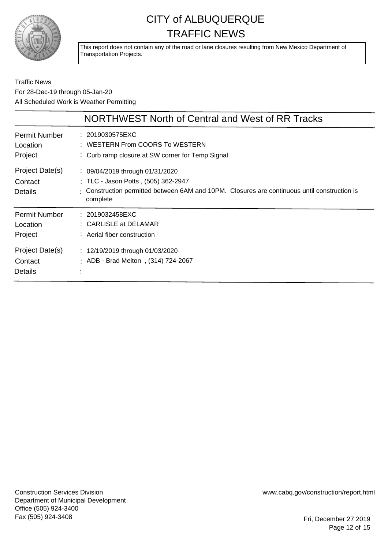

This report does not contain any of the road or lane closures resulting from New Mexico Department of Transportation Projects.

Traffic News For 28-Dec-19 through 05-Jan-20 All Scheduled Work is Weather Permitting

|                                              | NORTHWEST North of Central and West of RR Tracks                                                                                                                                               |
|----------------------------------------------|------------------------------------------------------------------------------------------------------------------------------------------------------------------------------------------------|
| <b>Permit Number</b><br>Location<br>Project  | : 2019030575EXC<br>: WESTERN From COORS To WESTERN<br>: Curb ramp closure at SW corner for Temp Signal                                                                                         |
| Project Date(s)<br>Contact<br><b>Details</b> | $\frac{1}{2}$ 09/04/2019 through 01/31/2020<br>: TLC - Jason Potts, (505) 362-2947<br>: Construction permitted between 6AM and 10PM. Closures are continuous until construction is<br>complete |
| <b>Permit Number</b><br>Location<br>Project  | : 2019032458EXC<br>: CARLISLE at DELAMAR<br>: Aerial fiber construction                                                                                                                        |
| Project Date(s)<br>Contact<br>Details        | : 12/19/2019 through 01/03/2020<br>ADB - Brad Melton, (314) 724-2067                                                                                                                           |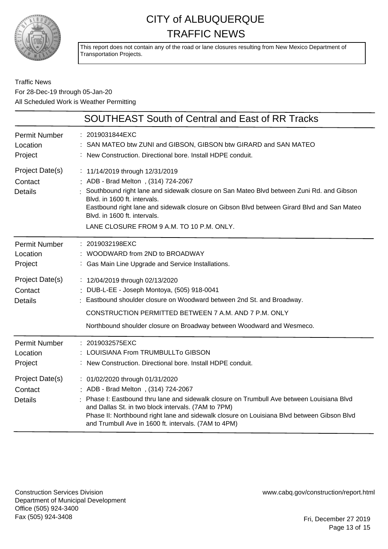

This report does not contain any of the road or lane closures resulting from New Mexico Department of Transportation Projects.

#### Traffic News For 28-Dec-19 through 05-Jan-20 All Scheduled Work is Weather Permitting

|                                              | <b>SOUTHEAST South of Central and East of RR Tracks</b>                                                                                                                                                                                                                                                                                                                       |
|----------------------------------------------|-------------------------------------------------------------------------------------------------------------------------------------------------------------------------------------------------------------------------------------------------------------------------------------------------------------------------------------------------------------------------------|
| <b>Permit Number</b><br>Location<br>Project  | : 2019031844EXC<br>: SAN MATEO btw ZUNI and GIBSON, GIBSON btw GIRARD and SAN MATEO<br>: New Construction. Directional bore. Install HDPE conduit.                                                                                                                                                                                                                            |
| Project Date(s)<br>Contact<br><b>Details</b> | : 11/14/2019 through 12/31/2019<br>ADB - Brad Melton, (314) 724-2067<br>Southbound right lane and sidewalk closure on San Mateo Blvd between Zuni Rd. and Gibson<br>Blvd. in 1600 ft. intervals.<br>Eastbound right lane and sidewalk closure on Gibson Blvd between Girard Blvd and San Mateo<br>Blvd. in 1600 ft. intervals.<br>LANE CLOSURE FROM 9 A.M. TO 10 P.M. ONLY.   |
| <b>Permit Number</b><br>Location<br>Project  | : 2019032198EXC<br>WOODWARD from 2ND to BROADWAY<br>: Gas Main Line Upgrade and Service Installations.                                                                                                                                                                                                                                                                        |
| Project Date(s)<br>Contact<br><b>Details</b> | : 12/04/2019 through 02/13/2020<br>DUB-L-EE - Joseph Montoya, (505) 918-0041<br>Eastbound shoulder closure on Woodward between 2nd St. and Broadway.<br>CONSTRUCTION PERMITTED BETWEEN 7 A.M. AND 7 P.M. ONLY<br>Northbound shoulder closure on Broadway between Woodward and Wesmeco.                                                                                        |
| <b>Permit Number</b><br>Location<br>Project  | : 2019032575EXC<br>LOUISIANA From TRUMBULLTo GIBSON<br>New Construction. Directional bore. Install HDPE conduit.                                                                                                                                                                                                                                                              |
| Project Date(s)<br>Contact<br><b>Details</b> | : 01/02/2020 through 01/31/2020<br>ADB - Brad Melton, (314) 724-2067<br>Phase I: Eastbound thru lane and sidewalk closure on Trumbull Ave between Louisiana Blvd<br>and Dallas St. in two block intervals. (7AM to 7PM)<br>Phase II: Northbound right lane and sidewalk closure on Louisiana Blvd between Gibson Blvd<br>and Trumbull Ave in 1600 ft. intervals. (7AM to 4PM) |

Construction Services Division Department of Municipal Development Office (505) 924-3400 Fax (505) 924-3408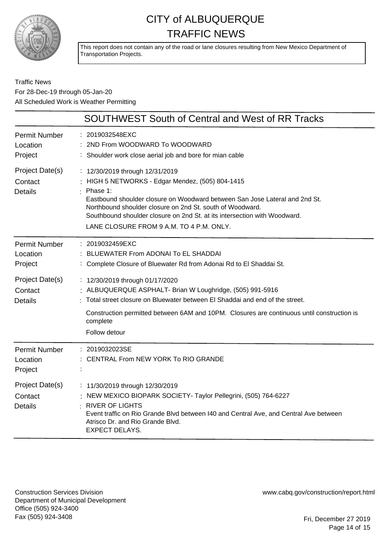

This report does not contain any of the road or lane closures resulting from New Mexico Department of Transportation Projects.

#### Traffic News For 28-Dec-19 through 05-Jan-20 All Scheduled Work is Weather Permitting

|                                              | <b>SOUTHWEST South of Central and West of RR Tracks</b>                                                                                                                                                                                                                                                                                                                |
|----------------------------------------------|------------------------------------------------------------------------------------------------------------------------------------------------------------------------------------------------------------------------------------------------------------------------------------------------------------------------------------------------------------------------|
| <b>Permit Number</b><br>Location<br>Project  | 2019032548EXC<br>2ND From WOODWARD To WOODWARD<br>Shoulder work close aerial job and bore for mian cable                                                                                                                                                                                                                                                               |
| Project Date(s)<br>Contact<br><b>Details</b> | : 12/30/2019 through 12/31/2019<br>HIGH 5 NETWORKS - Edgar Mendez, (505) 804-1415<br>$:$ Phase 1:<br>Eastbound shoulder closure on Woodward between San Jose Lateral and 2nd St.<br>Northbound shoulder closure on 2nd St. south of Woodward.<br>Southbound shoulder closure on 2nd St. at its intersection with Woodward.<br>LANE CLOSURE FROM 9 A.M. TO 4 P.M. ONLY. |
| <b>Permit Number</b><br>Location<br>Project  | 2019032459EXC<br>BLUEWATER From ADONAI To EL SHADDAI<br>Complete Closure of Bluewater Rd from Adonai Rd to El Shaddai St.                                                                                                                                                                                                                                              |
| Project Date(s)<br>Contact<br><b>Details</b> | : 12/30/2019 through 01/17/2020<br>: ALBUQUERQUE ASPHALT- Brian W Loughridge, (505) 991-5916<br>Total street closure on Bluewater between El Shaddai and end of the street.<br>Construction permitted between 6AM and 10PM. Closures are continuous until construction is<br>complete<br>Follow detour                                                                 |
| <b>Permit Number</b><br>Location<br>Project  | 2019032023SE<br>CENTRAL From NEW YORK To RIO GRANDE                                                                                                                                                                                                                                                                                                                    |
| Project Date(s)<br>Contact<br><b>Details</b> | : 11/30/2019 through 12/30/2019<br>: NEW MEXICO BIOPARK SOCIETY- Taylor Pellegrini, (505) 764-6227<br><b>RIVER OF LIGHTS</b><br>Event traffic on Rio Grande Blvd between I40 and Central Ave, and Central Ave between<br>Atrisco Dr. and Rio Grande Blvd.<br><b>EXPECT DELAYS.</b>                                                                                     |